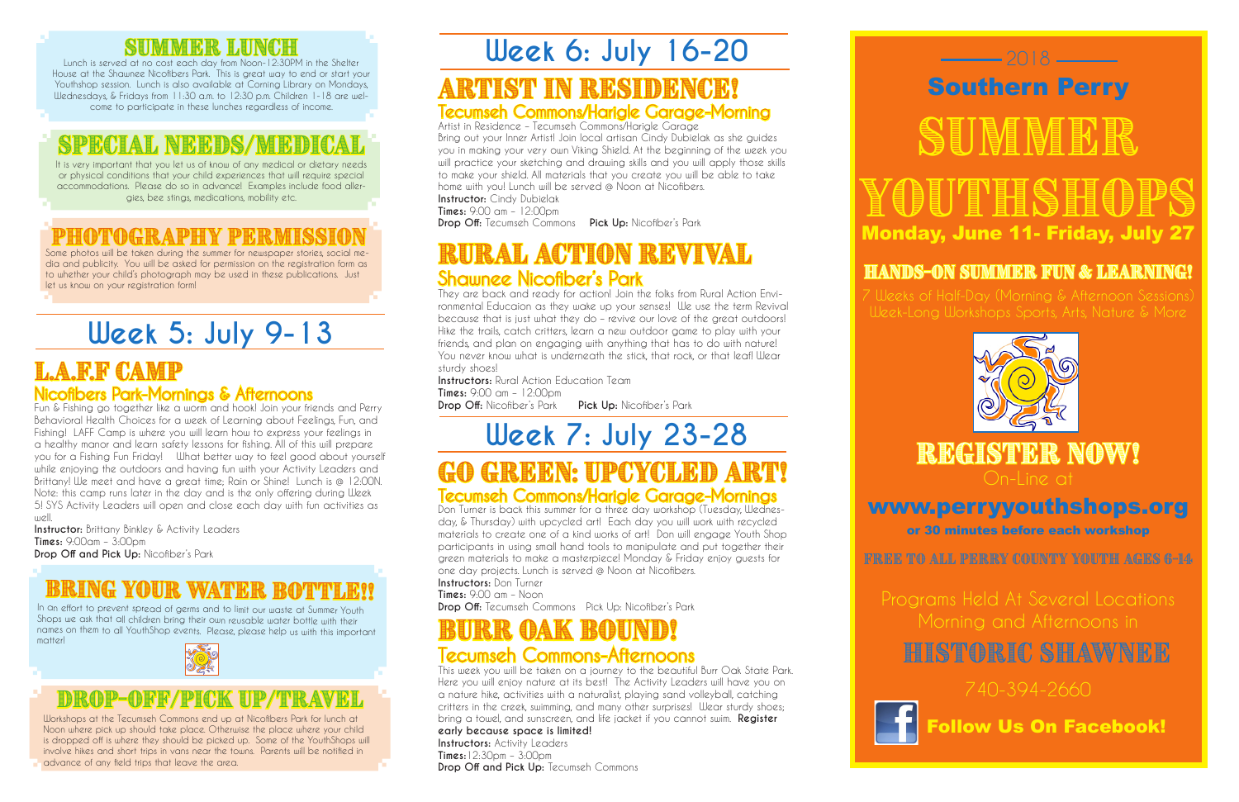# $-$  2018  $-$ Southern Perry SUMMERR.  $\blacksquare$  youth  $\blacktriangleright$  it is Monday, June 11- Friday, July 27



HANDS-ON SUMMER FUN & LEARNING! 7 Weeks of Half-Day (Morning & Afternoon Sessions) Week-Long Workshops Sports, Arts, Nature & More



# REGISTER NOW!

#### www.perryyouthshops.org

#### L.A.F.F CAMP Nicofibers Park-Mornings & Afternoons

or 30 minutes before each workshop

FREE TO ALL PERRY COUNTY YOUTH AGES 6-14

Programs Held At Several Locations

### Historic Shawnee



**Ollow Us On Facebook!** 

## **Week 5: July 9-13**

Fun & Fishing go together like a worm and hook! Join your friends and Perry Behavioral Health Choices for a week of Learning about Feelings, Fun, and Fishing! LAFF Camp is where you will learn how to express your feelings in a healthy manor and learn safety lessons for fishing. All of this will prepare you for a Fishing Fun Friday! What better way to feel good about yourself while enjoying the outdoors and having fun with your Activity Leaders and Brittany! We meet and have a great time; Rain or Shine! Lunch is @ 12:00N. Note: this camp runs later in the day and is the only offering during Week 5! SYS Activity Leaders will open and close each day with fun activities as well.

**Instructor:** Brittany Binkley & Activity Leaders **Times:** 9:00am – 3:00pm **Drop Off and Pick Up: Nicofiber's Park** 

### BRING YOUR WATER.

#### GO GREEN: UPCYCLED ART! Tecumseh Commons/Harigle Garage-Mornings

## **Week 6: July 16-20**

#### artist In Residence! Tecumseh Commons/Harigle Garage-Morning

Artist in Residence – Tecumseh Commons/Harigle Garage

Bring out your Inner Artist! Join local artisan Cindy Dubielak as she guides you in making your very own Viking Shield. At the beginning of the week you will practice your sketching and drawing skills and you will apply those skills to make your shield. All materials that you create you will be able to take home with you! Lunch will be served @ Noon at Nicofibers. **Instructor:** Cindy Dubielak

**Times:** 9:00 am - 12:00pm

**Drop Off:** Tecumseh Commons **Pick Up:** Nicofiber 's Park

### Rural Action Revival Shawnee Nicofiber 's Park

They are back and ready for action! Join the folks from Rural Action Environmental Educaion as they wake up your senses! We use the term Revival because that is just what they do – revive our love of the great outdoors! Hike the trails, catch critters, learn a new outdoor game to play with your friends, and plan on engaging with anything that has to do with nature! You never know what is underneath the stick, that rock, or that leaf! Wear sturdy shoes!

**Instructors:** Rural Action Education Team **Times:** 9:00 am – 12:00pm **Drop Off:** Nicofiber's Park **Pick Up:** Nicofiber's Park

# **Week 7: July 23-28**

Don Turner is back this summer for a three day workshop (Tuesday, Wednesday, & Thursday) with upcycled art! Each day you will work with recycled materials to create one of a kind works of art! Don will engage Youth Shop participants in using small hand tools to manipulate and put together their green materials to make a masterpiece! Monday & Friday enjoy guests for one day projects. Lunch is served @ Noon at Nicofibers. **Instructors:** Don Turner

**Times:** 9:00 am – Noon

**Drop Off:** Tecumseh Commons Pick Up: Nicofiber 's Park

#### Burr Oak Bound! Tecumseh Commons-Afternoons

This week you will be taken on a journey to the beautiful Burr Oak State Park. Here you will enjoy nature at its best! The Activity Leaders will have you on a nature hike, activities with a naturalist, playing sand volleyball, catching critters in the creek, swimming, and many other surprises! Wear sturdy shoes; bring a towel, and sunscreen, and life jacket if you cannot swim. **Register** 

**early because space is limited! Instructors:** Activity Leaders **Times:** 12:30pm – 3:00pm **Drop Off and Pick Up:** Tecumseh Commons

### Lunch is served at no cost each day from Noon-12:30PM in the Shelter

House at the Shawnee Nicofibers Park. This is great way to end or start your Youthshop session. Lunch is also available at Corning Library on Mondays, Wednesdays, & Fridays from 11:30 a.m. to 12:30 p.m. Children 1-18 are welcome to participate in these lunches regardless of income.

dia and publicity. You will be asked for permission on the registration form as to whether your child's photograph may be used in these publications. Just let us know on your registration form!

### Special Needs/Medical

It is very important that you let us of know of any medical or dietary needs or physical conditions that your child experiences that will require special accommodations. Please do so in advance! Examples include food allergies, bee stings, medications, mobility etc.

### **PHOTOGRAPHY PERMISSION**<br>Some photos will be taken during the summer for newspaper stories, social me-

### Drop-Off/Pick Up/Travel

Workshops at the Tecumseh Commons end up at Nicofibers Park for lunch at Noon where pick up should take place. Otherwise the place where your child is dropped off is where they should be picked up. Some of the YouthShops will involve hikes and short trips in vans near the towns. Parents will be notified in advance of any field trips that leave the area.

In an effort to prevent spread of germs and to limit our waste at Summer Youth Shops we ask that all children bring their own reusable water bottle with their names on them to all YouthShop events. Please, please help us with this important matter!